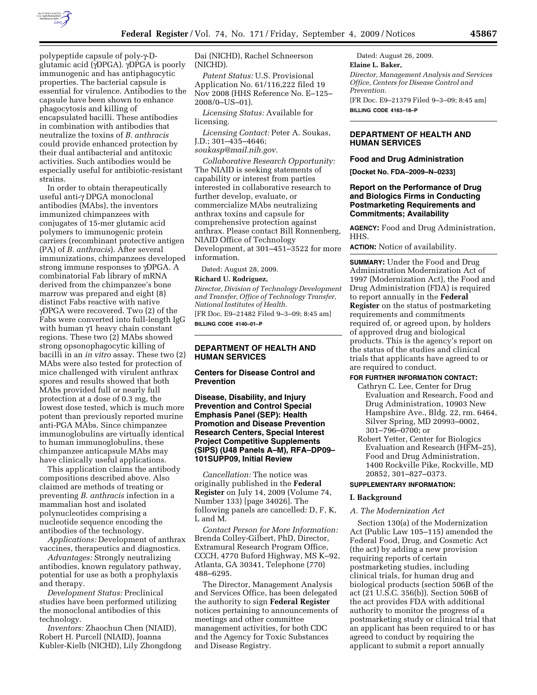

polypeptide capsule of poly-γ-Dglutamic acid (γDPGA). γDPGA is poorly immunogenic and has antiphagocytic properties. The bacterial capsule is essential for virulence. Antibodies to the capsule have been shown to enhance phagocytosis and killing of encapsulated bacilli. These antibodies in combination with antibodies that neutralize the toxins of *B. anthracis*  could provide enhanced protection by their dual antibacterial and antitoxic activities. Such antibodies would be especially useful for antibiotic-resistant strains.

In order to obtain therapeutically useful anti-γ DPGA monoclonal antibodies (MAbs), the inventors immunized chimpanzees with conjugates of 15-mer glutamic acid polymers to immunogenic protein carriers (recombinant protective antigen (PA) of *B. anthracis*). After several immunizations, chimpanzees developed strong immune responses to  $\gamma$ DPGA. A combinatorial Fab library of mRNA derived from the chimpanzee's bone marrow was prepared and eight (8) distinct Fabs reactive with native γDPGA were recovered. Two (2) of the Fabs were converted into full-length IgG with human  $\gamma$ 1 heavy chain constant regions. These two (2) MAbs showed strong opsonophagocytic killing of bacilli in an *in vitro* assay. These two (2) MAbs were also tested for protection of mice challenged with virulent anthrax spores and results showed that both MAbs provided full or nearly full protection at a dose of 0.3 mg, the lowest dose tested, which is much more potent than previously reported murine anti-PGA MAbs. Since chimpanzee immunoglobulins are virtually identical to human immunoglobulins, these chimpanzee anticapsule MAbs may have clinically useful applications.

This application claims the antibody compositions described above. Also claimed are methods of treating or preventing *B. anthracis* infection in a mammalian host and isolated polynucleotides comprising a nucleotide sequence encoding the antibodies of the technology.

*Applications:* Development of anthrax vaccines, therapeutics and diagnostics.

*Advantages:* Strongly neutralizing antibodies, known regulatory pathway, potential for use as both a prophylaxis and therapy.

*Development Status:* Preclinical studies have been performed utilizing the monoclonal antibodies of this technology.

*Inventors:* Zhaochun Chen (NIAID), Robert H. Purcell (NIAID), Joanna Kubler-Kielb (NICHD), Lily Zhongdong

Dai (NICHD), Rachel Schneerson (NICHD).

*Patent Status:* U.S. Provisional Application No. 61/116,222 filed 19 Nov 2008 (HHS Reference No. E–125– 2008/0–US–01).

*Licensing Status:* Available for licensing.

*Licensing Contact:* Peter A. Soukas, J.D.; 301–435–4646; *soukasp@mail.nih.gov.* 

*Collaborative Research Opportunity:*  The NIAID is seeking statements of capability or interest from parties interested in collaborative research to further develop, evaluate, or commercialize MAbs neutralizing anthrax toxins and capsule for comprehensive protection against anthrax. Please contact Bill Ronnenberg, NIAID Office of Technology Development, at 301–451–3522 for more information.

Dated: August 28, 2009.

### **Richard U. Rodriguez,**

*Director, Division of Technology Development and Transfer, Office of Technology Transfer, National Institutes of Health.* 

[FR Doc. E9–21482 Filed 9–3–09; 8:45 am] **BILLING CODE 4140–01–P** 

## **DEPARTMENT OF HEALTH AND HUMAN SERVICES**

**Centers for Disease Control and Prevention** 

**Disease, Disability, and Injury Prevention and Control Special Emphasis Panel (SEP): Health Promotion and Disease Prevention Research Centers, Special Interest Project Competitive Supplements (SIPS) (U48 Panels A–M), RFA–DP09– 101SUPP09, Initial Review** 

*Cancellation:* The notice was originally published in the **Federal Register** on July 14, 2009 (Volume 74, Number 133) [page 34026]. The following panels are cancelled: D, F, K, L and M.

*Contact Person for More Information:*  Brenda Colley-Gilbert, PhD, Director, Extramural Research Program Office, CCCH, 4770 Buford Highway, MS K–92, Atlanta, GA 30341, Telephone (770) 488–6295.

The Director, Management Analysis and Services Office, has been delegated the authority to sign **Federal Register**  notices pertaining to announcements of meetings and other committee management activities, for both CDC and the Agency for Toxic Substances and Disease Registry.

Dated: August 26, 2009. **Elaine L. Baker,**  *Director, Management Analysis and Services Office, Centers for Disease Control and Prevention.*  [FR Doc. E9–21379 Filed 9–3–09; 8:45 am]

**BILLING CODE 4163–18–P** 

## **DEPARTMENT OF HEALTH AND HUMAN SERVICES**

### **Food and Drug Administration**

**[Docket No. FDA–2009–N–0233]** 

## **Report on the Performance of Drug and Biologics Firms in Conducting Postmarketing Requirements and Commitments; Availability**

**AGENCY:** Food and Drug Administration, HHS.

**ACTION:** Notice of availability.

**SUMMARY:** Under the Food and Drug Administration Modernization Act of 1997 (Modernization Act), the Food and Drug Administration (FDA) is required to report annually in the **Federal Register** on the status of postmarketing requirements and commitments required of, or agreed upon, by holders of approved drug and biological products. This is the agency's report on the status of the studies and clinical trials that applicants have agreed to or are required to conduct.

#### **FOR FURTHER INFORMATION CONTACT:**

- Cathryn C. Lee, Center for Drug Evaluation and Research, Food and Drug Administration, 10903 New Hampshire Ave., Bldg. 22, rm. 6464, Silver Spring, MD 20993–0002, 301–796–0700; or
- Robert Yetter, Center for Biologics Evaluation and Research (HFM–25), Food and Drug Administration, 1400 Rockville Pike, Rockville, MD 20852, 301–827–0373.

### **SUPPLEMENTARY INFORMATION:**

#### **I. Background**

## *A. The Modernization Act*

Section 130(a) of the Modernization Act (Public Law 105–115) amended the Federal Food, Drug, and Cosmetic Act (the act) by adding a new provision requiring reports of certain postmarketing studies, including clinical trials, for human drug and biological products (section 506B of the act (21 U.S.C. 356(b)). Section 506B of the act provides FDA with additional authority to monitor the progress of a postmarketing study or clinical trial that an applicant has been required to or has agreed to conduct by requiring the applicant to submit a report annually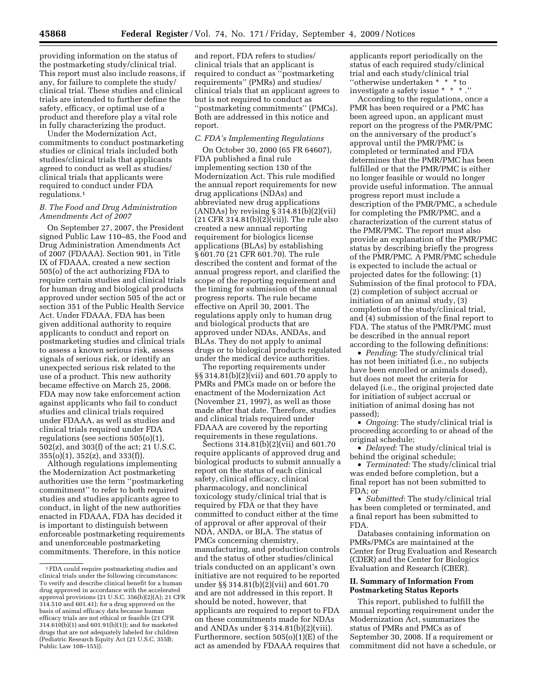providing information on the status of the postmarketing study/clinical trial. This report must also include reasons, if any, for failure to complete the study/ clinical trial. These studies and clinical trials are intended to further define the safety, efficacy, or optimal use of a product and therefore play a vital role in fully characterizing the product.

Under the Modernization Act, commitments to conduct postmarketing studies or clinical trials included both studies/clinical trials that applicants agreed to conduct as well as studies/ clinical trials that applicants were required to conduct under FDA regulations.1

## *B. The Food and Drug Administration Amendments Act of 2007*

On September 27, 2007, the President signed Public Law 110–85, the Food and Drug Administration Amendments Act of 2007 (FDAAA). Section 901, in Title IX of FDAAA, created a new section 505(o) of the act authorizing FDA to require certain studies and clinical trials for human drug and biological products approved under section 505 of the act or section 351 of the Public Health Service Act. Under FDAAA, FDA has been given additional authority to require applicants to conduct and report on postmarketing studies and clinical trials to assess a known serious risk, assess signals of serious risk, or identify an unexpected serious risk related to the use of a product. This new authority became effective on March 25, 2008. FDA may now take enforcement action against applicants who fail to conduct studies and clinical trials required under FDAAA, as well as studies and clinical trials required under FDA regulations (see sections 505(o)(1), 502(z), and 303(f) of the act; 21 U.S.C. 355(o)(1), 352(z), and 333(f)).

Although regulations implementing the Modernization Act postmarketing authorities use the term ''postmarketing commitment'' to refer to both required studies and studies applicants agree to conduct, in light of the new authorities enacted in FDAAA, FDA has decided it is important to distinguish between enforceable postmarketing requirements and unenforceable postmarketing commitments. Therefore, in this notice

and report, FDA refers to studies/ clinical trials that an applicant is required to conduct as ''postmarketing requirements'' (PMRs) and studies/ clinical trials that an applicant agrees to but is not required to conduct as ''postmarketing commitments'' (PMCs). Both are addressed in this notice and report.

## *C. FDA's Implementing Regulations*

On October 30, 2000 (65 FR 64607), FDA published a final rule implementing section 130 of the Modernization Act. This rule modified the annual report requirements for new drug applications (NDAs) and abbreviated new drug applications (ANDAs) by revising § 314.81(b)(2)(vii)  $(21$  CFR 314.81(b) $(2)$ (vii)). The rule also created a new annual reporting requirement for biologics license applications (BLAs) by establishing § 601.70 (21 CFR 601.70). The rule described the content and format of the annual progress report, and clarified the scope of the reporting requirement and the timing for submission of the annual progress reports. The rule became effective on April 30, 2001. The regulations apply only to human drug and biological products that are approved under NDAs, ANDAs, and BLAs. They do not apply to animal drugs or to biological products regulated under the medical device authorities.

The reporting requirements under §§ 314.81(b)(2)(vii) and 601.70 apply to PMRs and PMCs made on or before the enactment of the Modernization Act (November 21, 1997), as well as those made after that date. Therefore, studies and clinical trials required under FDAAA are covered by the reporting requirements in these regulations.

Sections  $314.81(b)(2)(\tilde{v}ii)$  and  $601.70$ require applicants of approved drug and biological products to submit annually a report on the status of each clinical safety, clinical efficacy, clinical pharmacology, and nonclinical toxicology study/clinical trial that is required by FDA or that they have committed to conduct either at the time of approval or after approval of their NDA, ANDA, or BLA. The status of PMCs concerning chemistry, manufacturing, and production controls and the status of other studies/clinical trials conducted on an applicant's own initiative are not required to be reported under §§ 314.81(b)(2)(vii) and 601.70 and are not addressed in this report. It should be noted, however, that applicants are required to report to FDA on these commitments made for NDAs and ANDAs under § 314.81(b)(2)(viii). Furthermore, section 505(o)(1)(E) of the act as amended by FDAAA requires that

applicants report periodically on the status of each required study/clinical trial and each study/clinical trial ''otherwise undertaken \* \* \* to investigate a safety issue \* \* \* .''

According to the regulations, once a PMR has been required or a PMC has been agreed upon, an applicant must report on the progress of the PMR/PMC on the anniversary of the product's approval until the PMR/PMC is completed or terminated and FDA determines that the PMR/PMC has been fulfilled or that the PMR/PMC is either no longer feasible or would no longer provide useful information. The annual progress report must include a description of the PMR/PMC, a schedule for completing the PMR/PMC, and a characterization of the current status of the PMR/PMC. The report must also provide an explanation of the PMR/PMC status by describing briefly the progress of the PMR/PMC. A PMR/PMC schedule is expected to include the actual or projected dates for the following: (1) Submission of the final protocol to FDA, (2) completion of subject accrual or initiation of an animal study, (3) completion of the study/clinical trial, and (4) submission of the final report to FDA. The status of the PMR/PMC must be described in the annual report according to the following definitions:

• *Pending*: The study/clinical trial has not been initiated (i.e., no subjects have been enrolled or animals dosed), but does not meet the criteria for delayed (i.e., the original projected date for initiation of subject accrual or initiation of animal dosing has not passed);

• *Ongoing*: The study/clinical trial is proceeding according to or ahead of the original schedule;

• *Delayed*: The study/clinical trial is behind the original schedule;

• *Terminated*: The study/clinical trial was ended before completion, but a final report has not been submitted to FDA; or

• *Submitted*: The study/clinical trial has been completed or terminated, and a final report has been submitted to FDA.

Databases containing information on PMRs/PMCs are maintained at the Center for Drug Evaluation and Research (CDER) and the Center for Biologics Evaluation and Research (CBER).

#### **II. Summary of Information From Postmarketing Status Reports**

This report, published to fulfill the annual reporting requirement under the Modernization Act, summarizes the status of PMRs and PMCs as of September 30, 2008. If a requirement or commitment did not have a schedule, or

<sup>1</sup>FDA could require postmarketing studies and clinical trials under the following circumstances: To verify and describe clinical benefit for a human drug approved in accordance with the accelerated approval provisions (21 U.S.C. 356(b)(2)(A); 21 CFR 314.510 and 601.41); for a drug approved on the basis of animal efficacy data because human efficacy trials are not ethical or feasible (21 CFR 314.610(b)(1) and 601.91(b)(1)); and for marketed drugs that are not adequately labeled for children (Pediatric Research Equity Act (21 U.S.C. 355B; Public Law 108–155)).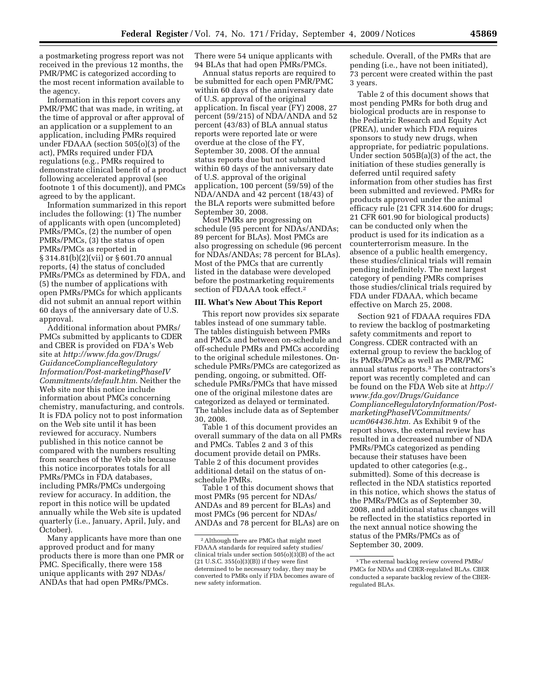a postmarketing progress report was not received in the previous 12 months, the PMR/PMC is categorized according to the most recent information available to the agency.

Information in this report covers any PMR/PMC that was made, in writing, at the time of approval or after approval of an application or a supplement to an application, including PMRs required under FDAAA (section 505(o)(3) of the act), PMRs required under FDA regulations (e.g., PMRs required to demonstrate clinical benefit of a product following accelerated approval (see footnote 1 of this document)), and PMCs agreed to by the applicant.

Information summarized in this report includes the following: (1) The number of applicants with open (uncompleted) PMRs/PMCs, (2) the number of open PMRs/PMCs, (3) the status of open PMRs/PMCs as reported in § 314.81(b)(2)(vii) or § 601.70 annual reports, (4) the status of concluded PMRs/PMCs as determined by FDA, and (5) the number of applications with open PMRs/PMCs for which applicants did not submit an annual report within 60 days of the anniversary date of U.S. approval.

Additional information about PMRs/ PMCs submitted by applicants to CDER and CBER is provided on FDA's Web site at *http://www.fda.gov/Drugs/ GuidanceComplianceRegulatory Information/Post-marketingPhaseIV Commitments/default.htm*. Neither the Web site nor this notice include information about PMCs concerning chemistry, manufacturing, and controls. It is FDA policy not to post information on the Web site until it has been reviewed for accuracy. Numbers published in this notice cannot be compared with the numbers resulting from searches of the Web site because this notice incorporates totals for all PMRs/PMCs in FDA databases, including PMRs/PMCs undergoing review for accuracy. In addition, the report in this notice will be updated annually while the Web site is updated quarterly (i.e., January, April, July, and October).

Many applicants have more than one approved product and for many products there is more than one PMR or PMC. Specifically, there were 158 unique applicants with 297 NDAs/ ANDAs that had open PMRs/PMCs.

There were 54 unique applicants with 94 BLAs that had open PMRs/PMCs.

Annual status reports are required to be submitted for each open PMR/PMC within 60 days of the anniversary date of U.S. approval of the original application. In fiscal year (FY) 2008, 27 percent (59/215) of NDA/ANDA and 52 percent (43/83) of BLA annual status reports were reported late or were overdue at the close of the FY, September 30, 2008. Of the annual status reports due but not submitted within 60 days of the anniversary date of U.S. approval of the original application, 100 percent (59/59) of the NDA/ANDA and 42 percent (18/43) of the BLA reports were submitted before September 30, 2008.

Most PMRs are progressing on schedule (95 percent for NDAs/ANDAs; 89 percent for BLAs). Most PMCs are also progressing on schedule (96 percent for NDAs/ANDAs; 78 percent for BLAs). Most of the PMCs that are currently listed in the database were developed before the postmarketing requirements section of FDAAA took effect.2

### **III. What's New About This Report**

This report now provides six separate tables instead of one summary table. The tables distinguish between PMRs and PMCs and between on-schedule and off-schedule PMRs and PMCs according to the original schedule milestones. Onschedule PMRs/PMCs are categorized as pending, ongoing, or submitted. Offschedule PMRs/PMCs that have missed one of the original milestone dates are categorized as delayed or terminated. The tables include data as of September 30, 2008.

Table 1 of this document provides an overall summary of the data on all PMRs and PMCs. Tables 2 and 3 of this document provide detail on PMRs. Table 2 of this document provides additional detail on the status of onschedule PMRs.

Table 1 of this document shows that most PMRs (95 percent for NDAs/ ANDAs and 89 percent for BLAs) and most PMCs (96 percent for NDAs/ ANDAs and 78 percent for BLAs) are on schedule. Overall, of the PMRs that are pending (i.e., have not been initiated), 73 percent were created within the past 3 years.

Table 2 of this document shows that most pending PMRs for both drug and biological products are in response to the Pediatric Research and Equity Act (PREA), under which FDA requires sponsors to study new drugs, when appropriate, for pediatric populations. Under section 505B(a)(3) of the act, the initiation of these studies generally is deferred until required safety information from other studies has first been submitted and reviewed. PMRs for products approved under the animal efficacy rule (21 CFR 314.600 for drugs; 21 CFR 601.90 for biological products) can be conducted only when the product is used for its indication as a counterterrorism measure. In the absence of a public health emergency, these studies/clinical trials will remain pending indefinitely. The next largest category of pending PMRs comprises those studies/clinical trials required by FDA under FDAAA, which became effective on March 25, 2008.

Section 921 of FDAAA requires FDA to review the backlog of postmarketing safety commitments and report to Congress. CDER contracted with an external group to review the backlog of its PMRs/PMCs as well as PMR/PMC annual status reports.3 The contractors's report was recently completed and can be found on the FDA Web site at *http:// www.fda.gov/Drugs/Guidance ComplianceRegulatoryInformation/PostmarketingPhaseIVCommitments/ ucm064436.htm*. As Exhibit 9 of the report shows, the external review has resulted in a decreased number of NDA PMRs/PMCs categorized as pending because their statuses have been updated to other categories (e.g., submitted). Some of this decrease is reflected in the NDA statistics reported in this notice, which shows the status of the PMRs/PMCs as of September 30, 2008, and additional status changes will be reflected in the statistics reported in the next annual notice showing the status of the PMRs/PMCs as of September 30, 2009.

<sup>2</sup>Although there are PMCs that might meet FDAAA standards for required safety studies/ clinical trials under section 505(o)(3)(B) of the act (21 U.S.C. 355(o)(3)(B)) if they were first determined to be necessary today, they may be converted to PMRs only if FDA becomes aware of new safety information.

<sup>3</sup>The external backlog review covered PMRs/ PMCs for NDAs and CDER-regulated BLAs. CBER conducted a separate backlog review of the CBERregulated BLAs.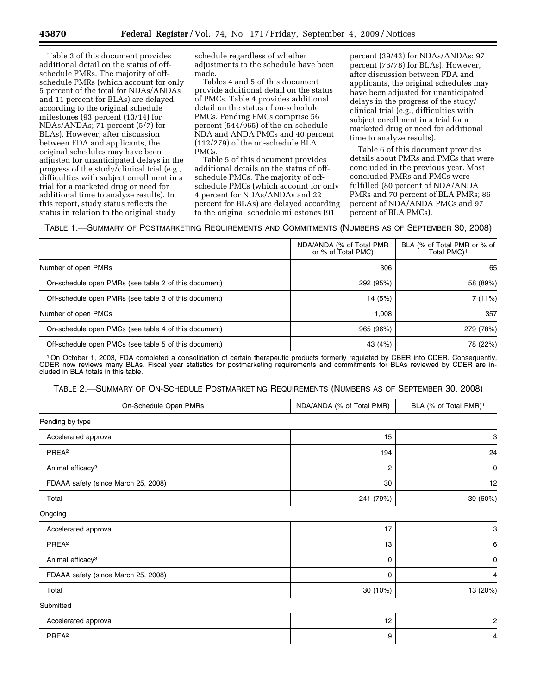Table 3 of this document provides additional detail on the status of offschedule PMRs. The majority of offschedule PMRs (which account for only 5 percent of the total for NDAs/ANDAs and 11 percent for BLAs) are delayed according to the original schedule milestones (93 percent (13/14) for NDAs/ANDAs; 71 percent (5/7) for BLAs). However, after discussion between FDA and applicants, the original schedules may have been adjusted for unanticipated delays in the progress of the study/clinical trial (e.g., difficulties with subject enrollment in a trial for a marketed drug or need for additional time to analyze results). In this report, study status reflects the status in relation to the original study

schedule regardless of whether adjustments to the schedule have been made.

Tables 4 and 5 of this document provide additional detail on the status of PMCs. Table 4 provides additional detail on the status of on-schedule PMCs. Pending PMCs comprise 56 percent (544/965) of the on-schedule NDA and ANDA PMCs and 40 percent (112/279) of the on-schedule BLA PMCs.

Table 5 of this document provides additional details on the status of offschedule PMCs. The majority of offschedule PMCs (which account for only 4 percent for NDAs/ANDAs and 22 percent for BLAs) are delayed according to the original schedule milestones (91

percent (39/43) for NDAs/ANDAs; 97 percent (76/78) for BLAs). However, after discussion between FDA and applicants, the original schedules may have been adjusted for unanticipated delays in the progress of the study/ clinical trial (e.g., difficulties with subject enrollment in a trial for a marketed drug or need for additional time to analyze results).

Table 6 of this document provides details about PMRs and PMCs that were concluded in the previous year. Most concluded PMRs and PMCs were fulfilled (80 percent of NDA/ANDA PMRs and 70 percent of BLA PMRs; 86 percent of NDA/ANDA PMCs and 97 percent of BLA PMCs).

TABLE 1.—SUMMARY OF POSTMARKETING REQUIREMENTS AND COMMITMENTS (NUMBERS AS OF SEPTEMBER 30, 2008)

|                                                       | NDA/ANDA (% of Total PMR<br>or % of Total PMC) | BLA (% of Total PMR or % of<br>Total PMC) <sup>1</sup> |
|-------------------------------------------------------|------------------------------------------------|--------------------------------------------------------|
| Number of open PMRs                                   | 306                                            | 65                                                     |
| On-schedule open PMRs (see table 2 of this document)  | 292 (95%)                                      | 58 (89%)                                               |
| Off-schedule open PMRs (see table 3 of this document) | 14 (5%)                                        | 7 (11%)                                                |
| Number of open PMCs                                   | 1.008                                          | 357                                                    |
| On-schedule open PMCs (see table 4 of this document)  | 965 (96%)                                      | 279 (78%)                                              |
| Off-schedule open PMCs (see table 5 of this document) | 43 (4%)                                        | 78 (22%)                                               |

1On October 1, 2003, FDA completed a consolidation of certain therapeutic products formerly regulated by CBER into CDER. Consequently, CDER now reviews many BLAs. Fiscal year statistics for postmarketing requirements and commitments for BLAs reviewed by CDER are included in BLA totals in this table.

TABLE 2.—SUMMARY OF ON-SCHEDULE POSTMARKETING REQUIREMENTS (NUMBERS AS OF SEPTEMBER 30, 2008)

| On-Schedule Open PMRs               | NDA/ANDA (% of Total PMR) | BLA (% of Total PMR) <sup>1</sup> |
|-------------------------------------|---------------------------|-----------------------------------|
| Pending by type                     |                           |                                   |
| Accelerated approval                | 15                        | 3                                 |
| PREA <sup>2</sup>                   | 194                       | 24                                |
| Animal efficacy <sup>3</sup>        | 2                         | 0                                 |
| FDAAA safety (since March 25, 2008) | 30                        | 12                                |
| Total                               | 241 (79%)                 | 39 (60%)                          |
| Ongoing                             |                           |                                   |
| Accelerated approval                | 17                        | 3                                 |
| PREA <sup>2</sup>                   | 13                        | 6                                 |
| Animal efficacy <sup>3</sup>        | 0                         | 0                                 |
| FDAAA safety (since March 25, 2008) | 0                         | 4                                 |
| Total                               | 30 (10%)                  | 13 (20%)                          |
| Submitted                           |                           |                                   |
| Accelerated approval                | 12                        | $\overline{c}$                    |
| PREA <sup>2</sup>                   | 9                         | 4                                 |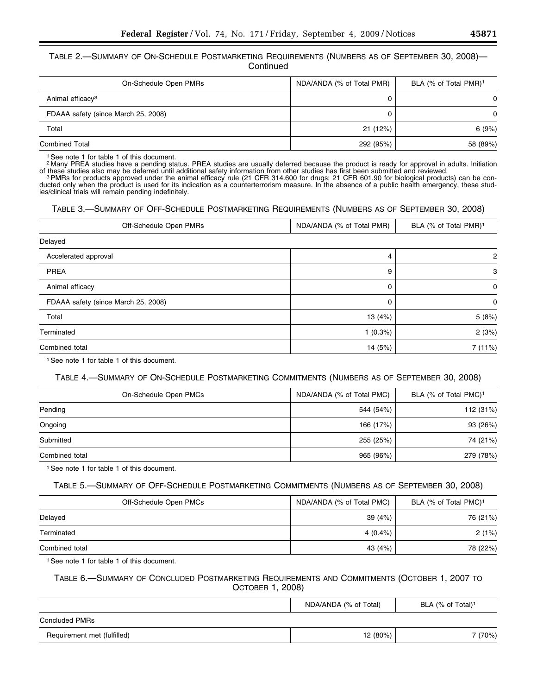# TABLE 2.—SUMMARY OF ON-SCHEDULE POSTMARKETING REQUIREMENTS (NUMBERS AS OF SEPTEMBER 30, 2008)— **Continued**

| On-Schedule Open PMRs               | NDA/ANDA (% of Total PMR) | BLA (% of Total PMR) <sup>1</sup> |
|-------------------------------------|---------------------------|-----------------------------------|
| Animal efficacy <sup>3</sup>        |                           | $\Omega$                          |
| FDAAA safety (since March 25, 2008) |                           | $\Omega$                          |
| Total                               | 21 (12%)                  | 6(9%)                             |
| <b>Combined Total</b>               | 292 (95%)                 | 58 (89%)                          |

1See note 1 for table 1 of this document.

2 Many PREA studies have a pending status. PREA studies are usually deferred because the product is ready for approval in adults. Initiation of these studies also may be deferred until additional safety information from ot

<sup>3</sup> PMRs for products approved under the animal efficacy rule (21 CFR 314.600 for drugs; 21 CFR 601.90 for biological products) can be conducted only when the product is used for its indication as a counterterrorism measure. In the absence of a public health emergency, these studies/clinical trials will remain pending indefinitely.

## TABLE 3.—SUMMARY OF OFF-SCHEDULE POSTMARKETING REQUIREMENTS (NUMBERS AS OF SEPTEMBER 30, 2008)

| Off-Schedule Open PMRs              | NDA/ANDA (% of Total PMR) | BLA (% of Total PMR) <sup>1</sup> |
|-------------------------------------|---------------------------|-----------------------------------|
| Delayed                             |                           |                                   |
| Accelerated approval                | 4                         | 2                                 |
| <b>PREA</b>                         | 9                         | 3                                 |
| Animal efficacy                     | 0                         | 0                                 |
| FDAAA safety (since March 25, 2008) | 0                         | 0                                 |
| Total                               | 13 (4%)                   | 5(8%)                             |
| Terminated                          | 1(0.3%)                   | 2(3%)                             |
| Combined total                      | 14 (5%)                   | 7 (11%)                           |

1See note 1 for table 1 of this document.

# TABLE 4.—SUMMARY OF ON-SCHEDULE POSTMARKETING COMMITMENTS (NUMBERS AS OF SEPTEMBER 30, 2008)

| On-Schedule Open PMCs | NDA/ANDA (% of Total PMC) | BLA (% of Total PMC) <sup>1</sup> |
|-----------------------|---------------------------|-----------------------------------|
| Pending               | 544 (54%)                 | 112 (31%)                         |
| Ongoing               | 166 (17%)                 | 93 (26%)                          |
| Submitted             | 255 (25%)                 | 74 (21%)                          |
| Combined total        | 965 (96%)                 | 279 (78%)                         |

<sup>1</sup> See note 1 for table 1 of this document.

# TABLE 5.—SUMMARY OF OFF-SCHEDULE POSTMARKETING COMMITMENTS (NUMBERS AS OF SEPTEMBER 30, 2008)

| Off-Schedule Open PMCs | NDA/ANDA (% of Total PMC) | BLA (% of Total PMC) <sup>1</sup> |
|------------------------|---------------------------|-----------------------------------|
| Delayed                | 39 (4%)                   | 76 (21%)                          |
| Terminated             | 4 (0.4%)                  | 2(1%)                             |
| Combined total         | 43 (4%)                   | 78 (22%)                          |

<sup>1</sup> See note 1 for table 1 of this document.

# TABLE 6.—SUMMARY OF CONCLUDED POSTMARKETING REQUIREMENTS AND COMMITMENTS (OCTOBER 1, 2007 TO OCTOBER 1, 2008)

|                             | NDA/ANDA (% of Total) | BLA (% of Total) <sup>1</sup> |
|-----------------------------|-----------------------|-------------------------------|
| <b>Concluded PMRs</b>       |                       |                               |
| Requirement met (fulfilled) | 12 (80%)              | 7 (70%)                       |